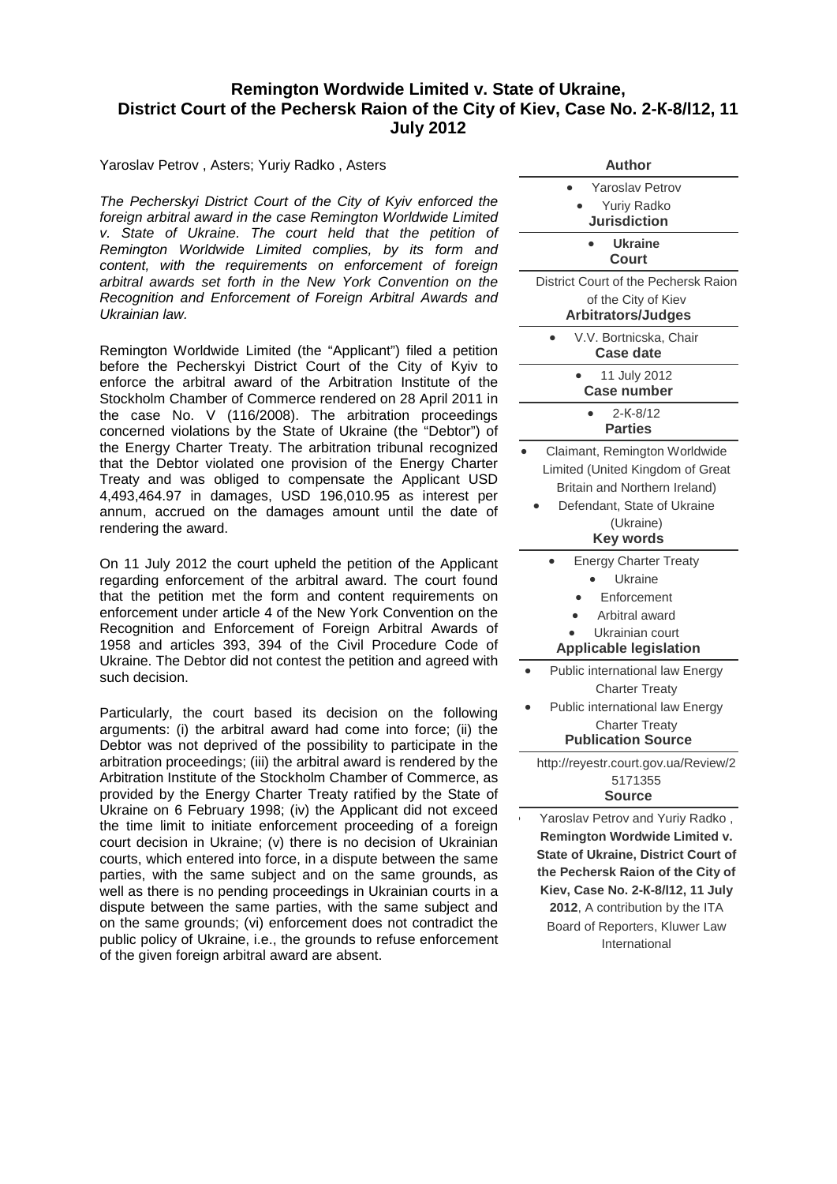## **Remington Wordwide Limited v. State of Ukraine, District Court of the Pechersk Raion of the City of Kiev, Case No. 2-К-8/l12, 11 July 2012**

Yaroslav Petrov , Asters; Yuriy Radko , Asters

*The Pecherskyi District Court of the City of Kyiv enforced the foreign arbitral award in the case Remington Worldwide Limited v. State of Ukraine. The court held that the petition of Remington Worldwide Limited complies, by its form and content, with the requirements on enforcement of foreign arbitral awards set forth in the New York Convention on the Recognition and Enforcement of Foreign Arbitral Awards and Ukrainian law.*

Remington Worldwide Limited (the "Applicant") filed a petition before the Pecherskyi District Court of the City of Kyiv to enforce the arbitral award of the Arbitration Institute of the Stockholm Chamber of Commerce rendered on 28 April 2011 in the case No. V (116/2008). The arbitration proceedings concerned violations by the State of Ukraine (the "Debtor") of the Energy Charter Treaty. The arbitration tribunal recognized that the Debtor violated one provision of the Energy Charter Treaty and was obliged to compensate the Applicant USD 4,493,464.97 in damages, USD 196,010.95 as interest per annum, accrued on the damages amount until the date of rendering the award.

On 11 July 2012 the court upheld the petition of the Applicant regarding enforcement of the arbitral award. The court found that the petition met the form and content requirements on enforcement under article 4 of the New York Convention on the Recognition and Enforcement of Foreign Arbitral Awards of 1958 and articles 393, 394 of the Civil Procedure Code of Ukraine. The Debtor did not contest the petition and agreed with such decision.

Particularly, the court based its decision on the following arguments: (i) the arbitral award had come into force; (ii) the Debtor was not deprived of the possibility to participate in the arbitration proceedings; (iii) the arbitral award is rendered by the Arbitration Institute of the Stockholm Chamber of Commerce, as provided by the Energy Charter Treaty ratified by the State of Ukraine on 6 February 1998; (iv) the Applicant did not exceed the time limit to initiate enforcement proceeding of a foreign court decision in Ukraine; (v) there is no decision of Ukrainian courts, which entered into force, in a dispute between the same parties, with the same subject and on the same grounds, as well as there is no pending proceedings in Ukrainian courts in a dispute between the same parties, with the same subject and on the same grounds; (vi) enforcement does not contradict the public policy of Ukraine, i.e., the grounds to refuse enforcement of the given foreign arbitral award are absent.

| Author                                                               |
|----------------------------------------------------------------------|
| <b>Yaroslav Petrov</b>                                               |
| <b>Yuriy Radko</b>                                                   |
| <b>Jurisdiction</b>                                                  |
| Ukraine<br><b>Court</b>                                              |
| District Court of the Pechersk Raion                                 |
| of the City of Kiev<br><b>Arbitrators/Judges</b>                     |
| V.V. Bortnicska, Chair<br><b>Case date</b>                           |
| 11 July 2012<br><b>Case number</b>                                   |
| 2-K-8/12                                                             |
| <b>Parties</b>                                                       |
| Claimant, Remington Worldwide                                        |
| Limited (United Kingdom of Great                                     |
| Britain and Northern Ireland)                                        |
| Defendant, State of Ukraine                                          |
| (Ukraine)                                                            |
| <b>Key words</b>                                                     |
| <b>Energy Charter Treaty</b>                                         |
| Ukraine                                                              |
| Enforcement                                                          |
| Arbitral award                                                       |
| Ukrainian court                                                      |
| <b>Applicable legislation</b>                                        |
| Public international law Energy                                      |
| <b>Charter Treaty</b>                                                |
| Public international law Energy                                      |
| <b>Charter Treaty</b><br><b>Publication Source</b>                   |
|                                                                      |
| http://reyestr.court.gov.ua/Review/2                                 |
| 5171355<br>Source                                                    |
|                                                                      |
| Yaroslav Petrov and Yuriy Radko,                                     |
| Remington Wordwide Limited v.                                        |
| <b>State of Ukraine, District Court of</b>                           |
| the Pechersk Raion of the City of                                    |
| Kiev, Case No. 2-K-8/I12, 11 July<br>2012, A contribution by the ITA |
| Board of Reporters, Kluwer Law                                       |
| International                                                        |